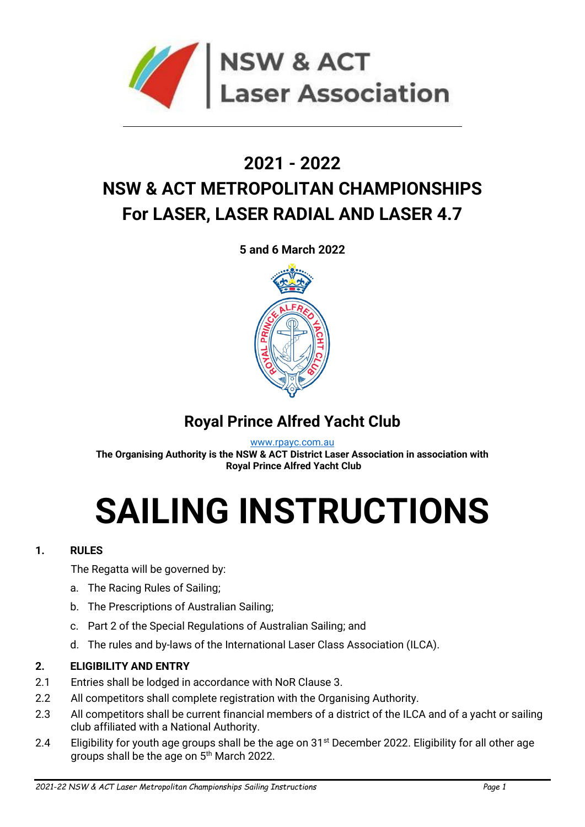

## **2021 - 2022 NSW & ACT METROPOLITAN CHAMPIONSHIPS For LASER, LASER RADIAL AND LASER 4.7**

**5 and 6 March 2022**



### **Royal Prince Alfred Yacht Club**

[www.rpayc.com.au](http://www.rpayc.com.au/)

**The Organising Authority is the NSW & ACT District Laser Association in association with Royal Prince Alfred Yacht Club**

# **SAILING INSTRUCTIONS**

#### **1. RULES**

The Regatta will be governed by:

- a. The Racing Rules of Sailing;
- b. The Prescriptions of Australian Sailing;
- c. Part 2 of the Special Regulations of Australian Sailing; and
- d. The rules and by-laws of the International Laser Class Association (ILCA).

#### **2. ELIGIBILITY AND ENTRY**

- 2.1 Entries shall be lodged in accordance with NoR Clause 3.
- 2.2 All competitors shall complete registration with the Organising Authority.
- 2.3 All competitors shall be current financial members of a district of the ILCA and of a yacht or sailing club affiliated with a National Authority.
- 2.4 Eligibility for youth age groups shall be the age on 31<sup>st</sup> December 2022. Eligibility for all other age groups shall be the age on 5<sup>th</sup> March 2022.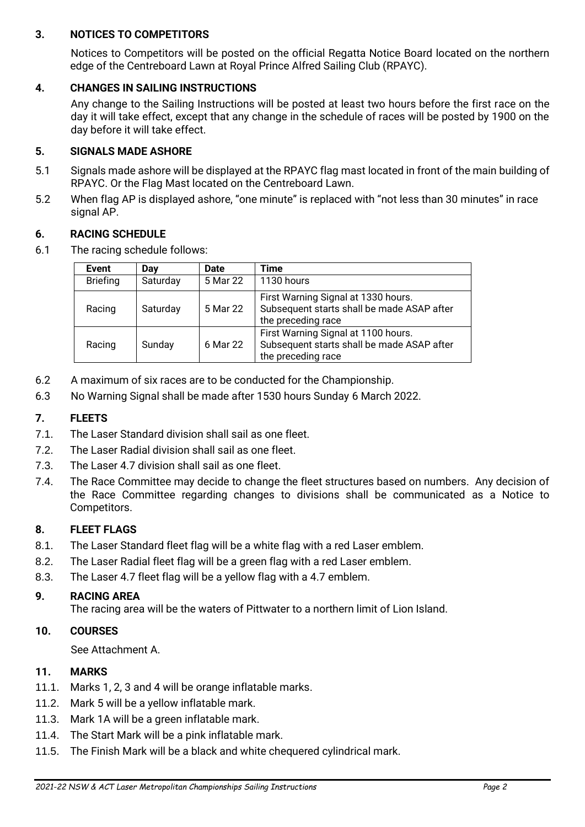#### **3. NOTICES TO COMPETITORS**

Notices to Competitors will be posted on the official Regatta Notice Board located on the northern edge of the Centreboard Lawn at Royal Prince Alfred Sailing Club (RPAYC).

#### **4. CHANGES IN SAILING INSTRUCTIONS**

Any change to the Sailing Instructions will be posted at least two hours before the first race on the day it will take effect, except that any change in the schedule of races will be posted by 1900 on the day before it will take effect.

#### **5. SIGNALS MADE ASHORE**

- 5.1 Signals made ashore will be displayed at the RPAYC flag mast located in front of the main building of RPAYC. Or the Flag Mast located on the Centreboard Lawn.
- 5.2 When flag AP is displayed ashore, "one minute" is replaced with "not less than 30 minutes" in race signal AP.

#### **6. RACING SCHEDULE**

6.1 The racing schedule follows:

| <b>Event</b>    | Day      | Date     | <b>Time</b>                                                                                             |
|-----------------|----------|----------|---------------------------------------------------------------------------------------------------------|
| <b>Briefing</b> | Saturday | 5 Mar 22 | 1130 hours                                                                                              |
| Racing          | Saturday | 5 Mar 22 | First Warning Signal at 1330 hours.<br>Subsequent starts shall be made ASAP after<br>the preceding race |
| Racing          | Sunday   | 6 Mar 22 | First Warning Signal at 1100 hours.<br>Subsequent starts shall be made ASAP after<br>the preceding race |

- 6.2 A maximum of six races are to be conducted for the Championship.
- 6.3 No Warning Signal shall be made after 1530 hours Sunday 6 March 2022.

#### **7. FLEETS**

- 7.1. The Laser Standard division shall sail as one fleet.
- 7.2. The Laser Radial division shall sail as one fleet.
- 7.3. The Laser 4.7 division shall sail as one fleet.
- 7.4. The Race Committee may decide to change the fleet structures based on numbers. Any decision of the Race Committee regarding changes to divisions shall be communicated as a Notice to Competitors.

#### **8. FLEET FLAGS**

- 8.1. The Laser Standard fleet flag will be a white flag with a red Laser emblem.
- 8.2. The Laser Radial fleet flag will be a green flag with a red Laser emblem.
- 8.3. The Laser 4.7 fleet flag will be a yellow flag with a 4.7 emblem.

#### **9. RACING AREA**

The racing area will be the waters of Pittwater to a northern limit of Lion Island.

#### **10. COURSES**

See Attachment A.

#### **11. MARKS**

- 11.1. Marks 1, 2, 3 and 4 will be orange inflatable marks.
- 11.2. Mark 5 will be a yellow inflatable mark.
- 11.3. Mark 1A will be a green inflatable mark.
- 11.4. The Start Mark will be a pink inflatable mark.
- 11.5. The Finish Mark will be a black and white chequered cylindrical mark.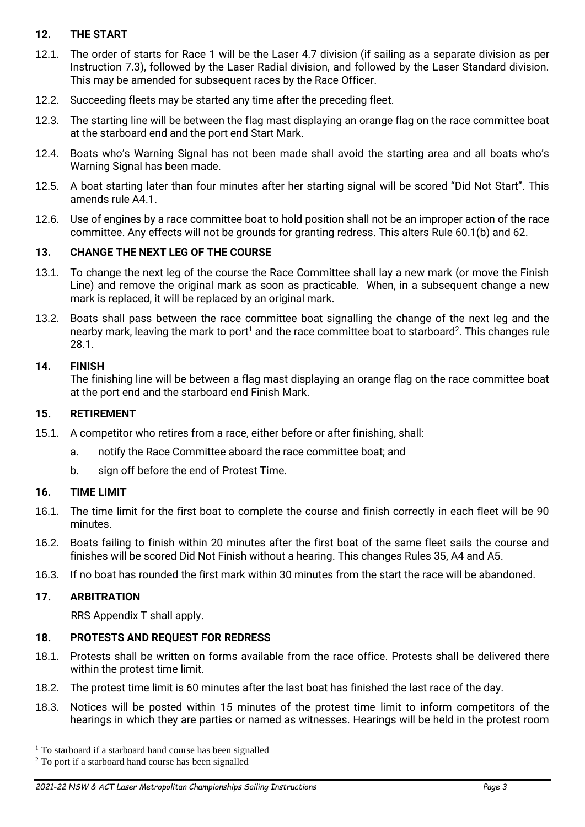#### **12. THE START**

- 12.1. The order of starts for Race 1 will be the Laser 4.7 division (if sailing as a separate division as per Instruction 7.3), followed by the Laser Radial division, and followed by the Laser Standard division. This may be amended for subsequent races by the Race Officer.
- 12.2. Succeeding fleets may be started any time after the preceding fleet.
- 12.3. The starting line will be between the flag mast displaying an orange flag on the race committee boat at the starboard end and the port end Start Mark.
- 12.4. Boats who's Warning Signal has not been made shall avoid the starting area and all boats who's Warning Signal has been made.
- 12.5. A boat starting later than four minutes after her starting signal will be scored "Did Not Start". This amends rule A4.1.
- 12.6. Use of engines by a race committee boat to hold position shall not be an improper action of the race committee. Any effects will not be grounds for granting redress. This alters Rule 60.1(b) and 62.

#### **13. CHANGE THE NEXT LEG OF THE COURSE**

- 13.1. To change the next leg of the course the Race Committee shall lay a new mark (or move the Finish Line) and remove the original mark as soon as practicable. When, in a subsequent change a new mark is replaced, it will be replaced by an original mark.
- 13.2. Boats shall pass between the race committee boat signalling the change of the next leg and the nearby mark, leaving the mark to port<sup>1</sup> and the race committee boat to starboard<sup>2</sup>. This changes rule 28.1.

#### **14. FINISH**

The finishing line will be between a flag mast displaying an orange flag on the race committee boat at the port end and the starboard end Finish Mark.

#### **15. RETIREMENT**

- 15.1. A competitor who retires from a race, either before or after finishing, shall:
	- a. notify the Race Committee aboard the race committee boat; and
	- b. sign off before the end of Protest Time.

#### **16. TIME LIMIT**

- 16.1. The time limit for the first boat to complete the course and finish correctly in each fleet will be 90 minutes.
- 16.2. Boats failing to finish within 20 minutes after the first boat of the same fleet sails the course and finishes will be scored Did Not Finish without a hearing. This changes Rules 35, A4 and A5.
- 16.3. If no boat has rounded the first mark within 30 minutes from the start the race will be abandoned.

#### **17. ARBITRATION**

RRS Appendix T shall apply.

#### **18. PROTESTS AND REQUEST FOR REDRESS**

- 18.1. Protests shall be written on forms available from the race office. Protests shall be delivered there within the protest time limit.
- 18.2. The protest time limit is 60 minutes after the last boat has finished the last race of the day.
- 18.3. Notices will be posted within 15 minutes of the protest time limit to inform competitors of the hearings in which they are parties or named as witnesses. Hearings will be held in the protest room

<sup>&</sup>lt;sup>1</sup> To starboard if a starboard hand course has been signalled

<sup>&</sup>lt;sup>2</sup> To port if a starboard hand course has been signalled

*<sup>2021-22</sup> NSW & ACT Laser Metropolitan Championships Sailing Instructions Page 3*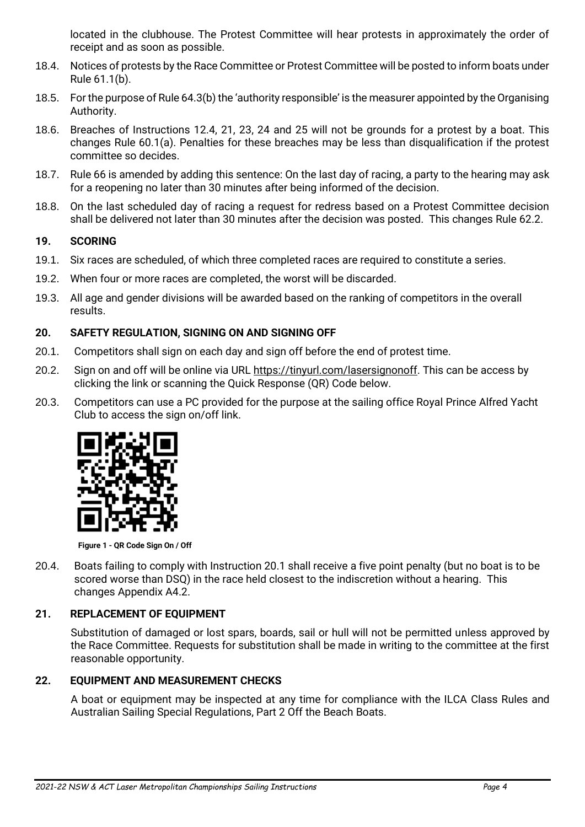located in the clubhouse. The Protest Committee will hear protests in approximately the order of receipt and as soon as possible.

- 18.4. Notices of protests by the Race Committee or Protest Committee will be posted to inform boats under Rule 61.1(b).
- 18.5. For the purpose of Rule 64.3(b) the 'authority responsible' is the measurer appointed by the Organising Authority.
- 18.6. Breaches of Instructions 12.4, 21, 23, 24 and 25 will not be grounds for a protest by a boat. This changes Rule 60.1(a). Penalties for these breaches may be less than disqualification if the protest committee so decides.
- 18.7. Rule 66 is amended by adding this sentence: On the last day of racing, a party to the hearing may ask for a reopening no later than 30 minutes after being informed of the decision.
- 18.8. On the last scheduled day of racing a request for redress based on a Protest Committee decision shall be delivered not later than 30 minutes after the decision was posted. This changes Rule 62.2.

#### **19. SCORING**

- 19.1. Six races are scheduled, of which three completed races are required to constitute a series.
- 19.2. When four or more races are completed, the worst will be discarded.
- 19.3. All age and gender divisions will be awarded based on the ranking of competitors in the overall results.

#### **20. SAFETY REGULATION, SIGNING ON AND SIGNING OFF**

- 20.1. Competitors shall sign on each day and sign off before the end of protest time.
- 20.2. Sign on and off will be online via URL [https://tinyurl.com/lasersignonoff.](https://tinyurl.com/lasersignonoff) This can be access by clicking the link or scanning the Quick Response (QR) Code below.
- 20.3. Competitors can use a PC provided for the purpose at the sailing office Royal Prince Alfred Yacht Club to access the sign on/off link.



**Figure 1 - QR Code Sign On / Off**

20.4. Boats failing to comply with Instruction 20.1 shall receive a five point penalty (but no boat is to be scored worse than DSQ) in the race held closest to the indiscretion without a hearing. This changes Appendix A4.2.

#### **21. REPLACEMENT OF EQUIPMENT**

Substitution of damaged or lost spars, boards, sail or hull will not be permitted unless approved by the Race Committee. Requests for substitution shall be made in writing to the committee at the first reasonable opportunity.

#### **22. EQUIPMENT AND MEASUREMENT CHECKS**

A boat or equipment may be inspected at any time for compliance with the ILCA Class Rules and Australian Sailing Special Regulations, Part 2 Off the Beach Boats.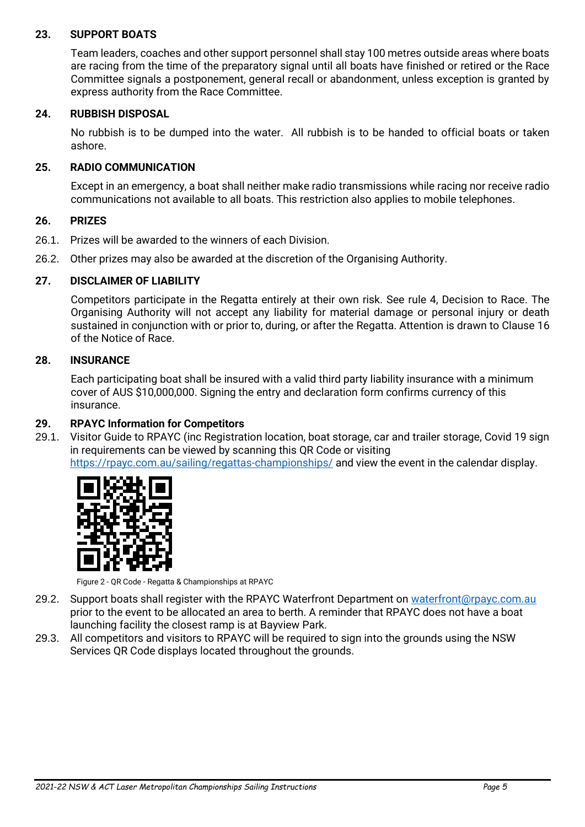#### **23. SUPPORT BOATS**

Team leaders, coaches and other support personnel shall stay 100 metres outside areas where boats are racing from the time of the preparatory signal until all boats have finished or retired or the Race Committee signals a postponement, general recall or abandonment, unless exception is granted by express authority from the Race Committee.

#### **24. RUBBISH DISPOSAL**

No rubbish is to be dumped into the water. All rubbish is to be handed to official boats or taken ashore.

#### **25. RADIO COMMUNICATION**

Except in an emergency, a boat shall neither make radio transmissions while racing nor receive radio communications not available to all boats. This restriction also applies to mobile telephones.

#### **26. PRIZES**

- 26.1. Prizes will be awarded to the winners of each Division.
- 26.2. Other prizes may also be awarded at the discretion of the Organising Authority.

#### **27. DISCLAIMER OF LIABILITY**

Competitors participate in the Regatta entirely at their own risk. See rule 4, Decision to Race. The Organising Authority will not accept any liability for material damage or personal injury or death sustained in conjunction with or prior to, during, or after the Regatta. Attention is drawn to Clause 16 of the Notice of Race.

#### **28. INSURANCE**

Each participating boat shall be insured with a valid third party liability insurance with a minimum cover of AUS \$10,000,000. Signing the entry and declaration form confirms currency of this insurance.

#### **29. RPAYC Information for Competitors**

29.1. Visitor Guide to RPAYC (inc Registration location, boat storage, car and trailer storage, Covid 19 sign in requirements can be viewed by scanning this QR Code or visiting <https://rpayc.com.au/sailing/regattas-championships/> and view the event in the calendar display.



Figure 2 - QR Code - Regatta & Championships at RPAYC

- 29.2. Support boats shall register with the RPAYC Waterfront Department on [waterfront@rpayc.com.au](mailto:waterfront@rpayc.com.au) prior to the event to be allocated an area to berth. A reminder that RPAYC does not have a boat launching facility the closest ramp is at Bayview Park.
- 29.3. All competitors and visitors to RPAYC will be required to sign into the grounds using the NSW Services QR Code displays located throughout the grounds.